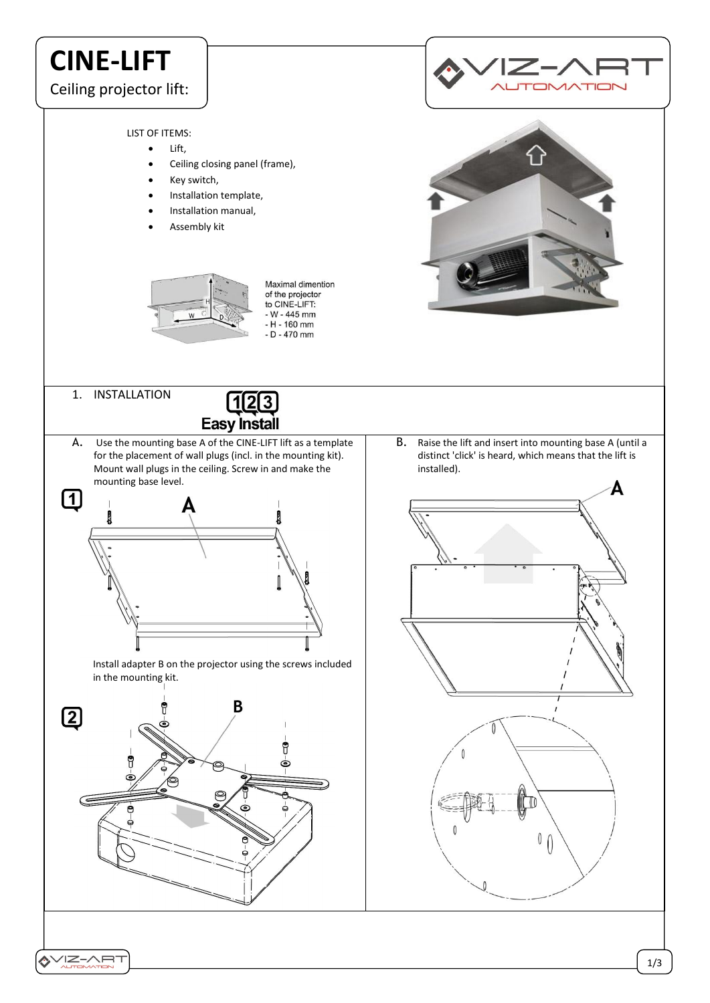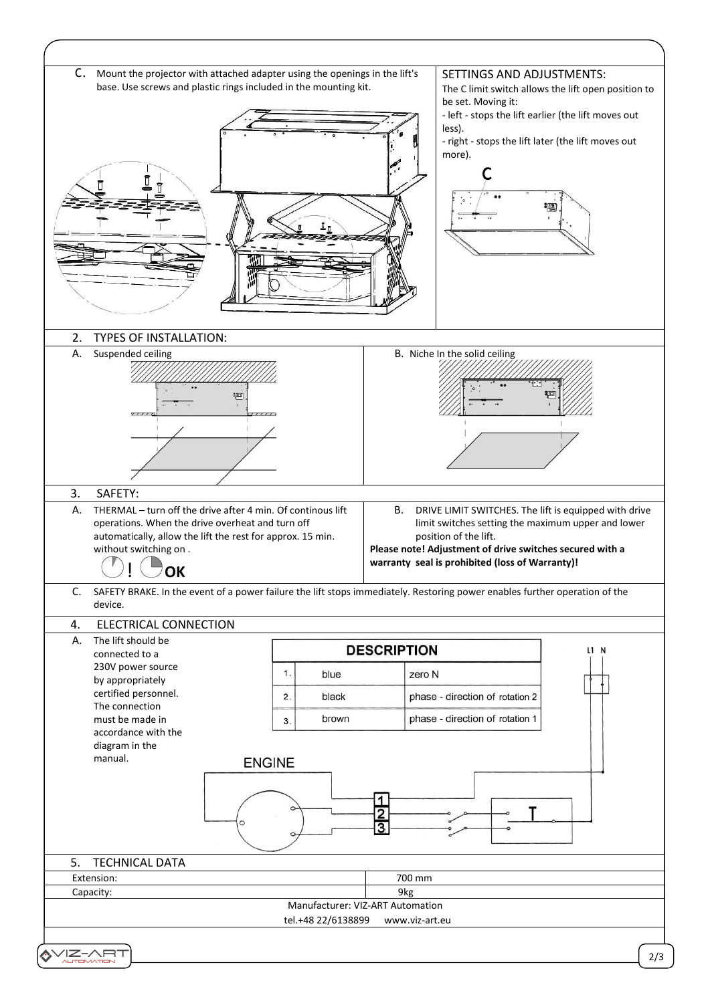